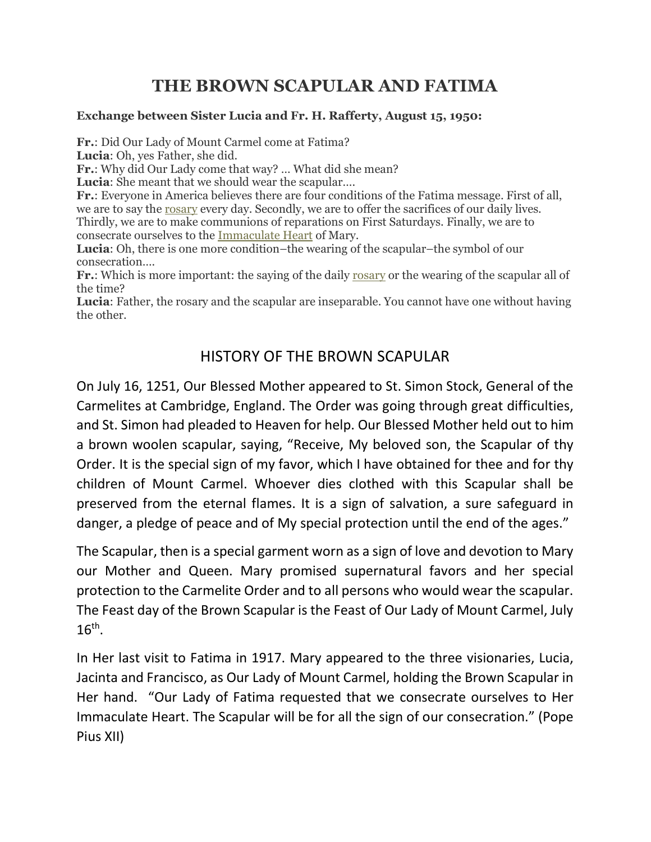# THE BROWN SCAPULAR AND FATIMA

#### Exchange between Sister Lucia and Fr. H. Rafferty, August 15, 1950:

Fr.: Did Our Lady of Mount Carmel come at Fatima?

Lucia: Oh, yes Father, she did.

Fr.: Why did Our Lady come that way? … What did she mean?

Lucia: She meant that we should wear the scapular....

Fr.: Everyone in America believes there are four conditions of the Fatima message. First of all, we are to say the rosary every day. Secondly, we are to offer the sacrifices of our daily lives. Thirdly, we are to make communions of reparations on First Saturdays. Finally, we are to consecrate ourselves to the Immaculate Heart of Mary.

Lucia: Oh, there is one more condition–the wearing of the scapular–the symbol of our consecration….

Fr.: Which is more important: the saying of the daily rosary or the wearing of the scapular all of the time?

Lucia: Father, the rosary and the scapular are inseparable. You cannot have one without having the other.

## HISTORY OF THE BROWN SCAPULAR

On July 16, 1251, Our Blessed Mother appeared to St. Simon Stock, General of the Carmelites at Cambridge, England. The Order was going through great difficulties, and St. Simon had pleaded to Heaven for help. Our Blessed Mother held out to him a brown woolen scapular, saying, "Receive, My beloved son, the Scapular of thy Order. It is the special sign of my favor, which I have obtained for thee and for thy children of Mount Carmel. Whoever dies clothed with this Scapular shall be preserved from the eternal flames. It is a sign of salvation, a sure safeguard in danger, a pledge of peace and of My special protection until the end of the ages."

The Scapular, then is a special garment worn as a sign of love and devotion to Mary our Mother and Queen. Mary promised supernatural favors and her special protection to the Carmelite Order and to all persons who would wear the scapular. The Feast day of the Brown Scapular is the Feast of Our Lady of Mount Carmel, July  $16^{\text{th}}$ .

In Her last visit to Fatima in 1917. Mary appeared to the three visionaries, Lucia, Jacinta and Francisco, as Our Lady of Mount Carmel, holding the Brown Scapular in Her hand. "Our Lady of Fatima requested that we consecrate ourselves to Her Immaculate Heart. The Scapular will be for all the sign of our consecration." (Pope Pius XII)